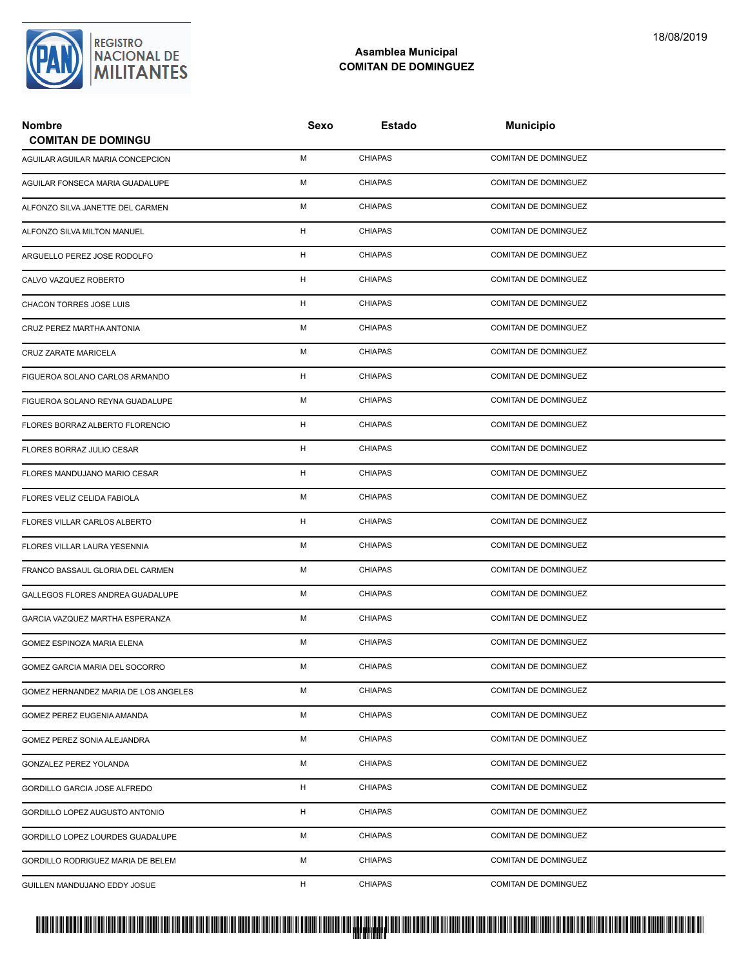

## **Asamblea Municipal COMITAN DE DOMINGUEZ**

| <b>Nombre</b><br><b>COMITAN DE DOMINGU</b> | Sexo | Estado         | <b>Municipio</b>            |  |
|--------------------------------------------|------|----------------|-----------------------------|--|
| AGUILAR AGUILAR MARIA CONCEPCION           | м    | <b>CHIAPAS</b> | COMITAN DE DOMINGUEZ        |  |
| AGUILAR FONSECA MARIA GUADALUPE            | М    | <b>CHIAPAS</b> | <b>COMITAN DE DOMINGUEZ</b> |  |
| ALFONZO SILVA JANETTE DEL CARMEN           | М    | <b>CHIAPAS</b> | <b>COMITAN DE DOMINGUEZ</b> |  |
| ALFONZO SILVA MILTON MANUEL                | н    | <b>CHIAPAS</b> | COMITAN DE DOMINGUEZ        |  |
| ARGUELLO PEREZ JOSE RODOLFO                | н    | <b>CHIAPAS</b> | COMITAN DE DOMINGUEZ        |  |
| CALVO VAZQUEZ ROBERTO                      | H    | <b>CHIAPAS</b> | COMITAN DE DOMINGUEZ        |  |
| CHACON TORRES JOSE LUIS                    | н    | <b>CHIAPAS</b> | <b>COMITAN DE DOMINGUEZ</b> |  |
| CRUZ PEREZ MARTHA ANTONIA                  | M    | <b>CHIAPAS</b> | <b>COMITAN DE DOMINGUEZ</b> |  |
| CRUZ ZARATE MARICELA                       | м    | <b>CHIAPAS</b> | COMITAN DE DOMINGUEZ        |  |
| FIGUEROA SOLANO CARLOS ARMANDO             | H    | <b>CHIAPAS</b> | COMITAN DE DOMINGUEZ        |  |
| FIGUEROA SOLANO REYNA GUADALUPE            | M    | <b>CHIAPAS</b> | COMITAN DE DOMINGUEZ        |  |
| FLORES BORRAZ ALBERTO FLORENCIO            | н    | <b>CHIAPAS</b> | <b>COMITAN DE DOMINGUEZ</b> |  |
| FLORES BORRAZ JULIO CESAR                  | H    | <b>CHIAPAS</b> | <b>COMITAN DE DOMINGUEZ</b> |  |
| FLORES MANDUJANO MARIO CESAR               | H    | <b>CHIAPAS</b> | <b>COMITAN DE DOMINGUEZ</b> |  |
| FLORES VELIZ CELIDA FABIOLA                | М    | <b>CHIAPAS</b> | COMITAN DE DOMINGUEZ        |  |
| FLORES VILLAR CARLOS ALBERTO               | H    | <b>CHIAPAS</b> | <b>COMITAN DE DOMINGUEZ</b> |  |
| FLORES VILLAR LAURA YESENNIA               | М    | <b>CHIAPAS</b> | <b>COMITAN DE DOMINGUEZ</b> |  |
| FRANCO BASSAUL GLORIA DEL CARMEN           | М    | <b>CHIAPAS</b> | <b>COMITAN DE DOMINGUEZ</b> |  |
| GALLEGOS FLORES ANDREA GUADALUPE           | м    | <b>CHIAPAS</b> | COMITAN DE DOMINGUEZ        |  |
| GARCIA VAZQUEZ MARTHA ESPERANZA            | М    | <b>CHIAPAS</b> | COMITAN DE DOMINGUEZ        |  |
| GOMEZ ESPINOZA MARIA ELENA                 | М    | <b>CHIAPAS</b> | <b>COMITAN DE DOMINGUEZ</b> |  |
| GOMEZ GARCIA MARIA DEL SOCORRO             | М    | <b>CHIAPAS</b> | COMITAN DE DOMINGUEZ        |  |
| GOMEZ HERNANDEZ MARIA DE LOS ANGELES       | М    | <b>CHIAPAS</b> | COMITAN DE DOMINGUEZ        |  |
| GOMEZ PEREZ EUGENIA AMANDA                 | М    | <b>CHIAPAS</b> | COMITAN DE DOMINGUEZ        |  |
| GOMEZ PEREZ SONIA ALEJANDRA                | М    | <b>CHIAPAS</b> | COMITAN DE DOMINGUEZ        |  |
| <b>GONZALEZ PEREZ YOLANDA</b>              | М    | <b>CHIAPAS</b> | COMITAN DE DOMINGUEZ        |  |
| GORDILLO GARCIA JOSE ALFREDO               | H.   | <b>CHIAPAS</b> | <b>COMITAN DE DOMINGUEZ</b> |  |
| GORDILLO LOPEZ AUGUSTO ANTONIO             | н    | <b>CHIAPAS</b> | COMITAN DE DOMINGUEZ        |  |
| GORDILLO LOPEZ LOURDES GUADALUPE           | М    | <b>CHIAPAS</b> | COMITAN DE DOMINGUEZ        |  |
| GORDILLO RODRIGUEZ MARIA DE BELEM          | М    | <b>CHIAPAS</b> | COMITAN DE DOMINGUEZ        |  |
| GUILLEN MANDUJANO EDDY JOSUE               | H    | <b>CHIAPAS</b> | COMITAN DE DOMINGUEZ        |  |

PROTUCCION SU REGION DA SU REGIONAL DE LA SULTA SU REGIONAL DE MILITANTES CONTRADO NACIONAL DE MILITANTES CONTRADO N <mark>. Pangyakan k</mark>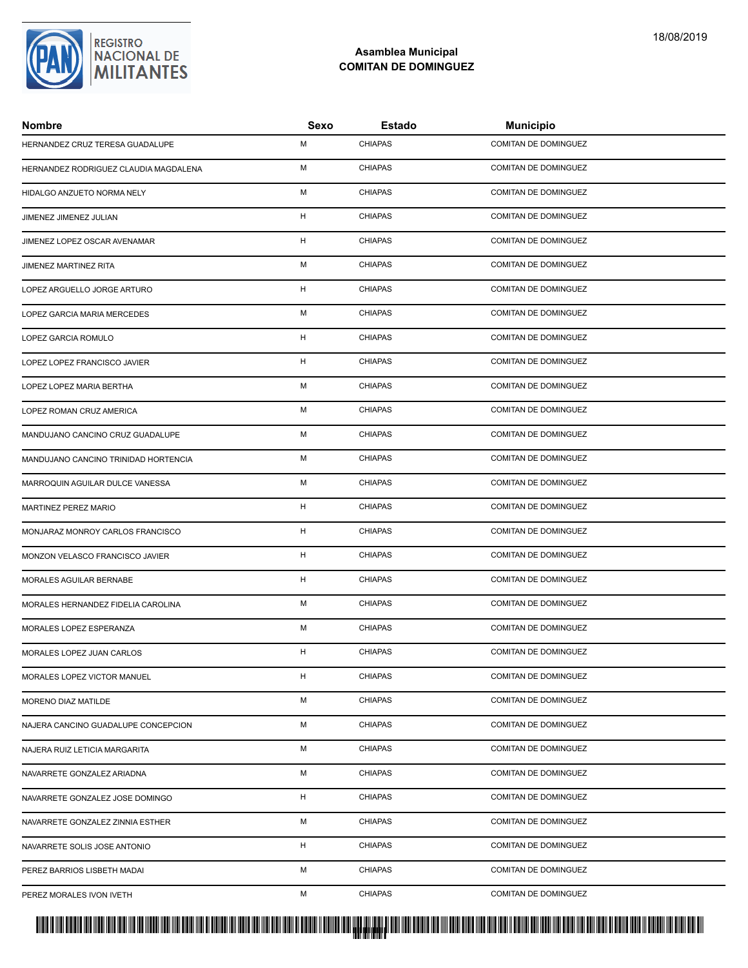

## **Asamblea Municipal COMITAN DE DOMINGUEZ**

| <b>Nombre</b>                         | Sexo | Estado         | <b>Municipio</b>            |
|---------------------------------------|------|----------------|-----------------------------|
| HERNANDEZ CRUZ TERESA GUADALUPE       | M    | <b>CHIAPAS</b> | <b>COMITAN DE DOMINGUEZ</b> |
| HERNANDEZ RODRIGUEZ CLAUDIA MAGDALENA | M    | <b>CHIAPAS</b> | COMITAN DE DOMINGUEZ        |
| HIDALGO ANZUETO NORMA NELY            | M    | <b>CHIAPAS</b> | <b>COMITAN DE DOMINGUEZ</b> |
| JIMENEZ JIMENEZ JULIAN                | H    | <b>CHIAPAS</b> | COMITAN DE DOMINGUEZ        |
| JIMENEZ LOPEZ OSCAR AVENAMAR          | H    | <b>CHIAPAS</b> | COMITAN DE DOMINGUEZ        |
| JIMENEZ MARTINEZ RITA                 | M    | <b>CHIAPAS</b> | <b>COMITAN DE DOMINGUEZ</b> |
| LOPEZ ARGUELLO JORGE ARTURO           | H    | <b>CHIAPAS</b> | COMITAN DE DOMINGUEZ        |
| LOPEZ GARCIA MARIA MERCEDES           | M    | <b>CHIAPAS</b> | <b>COMITAN DE DOMINGUEZ</b> |
| LOPEZ GARCIA ROMULO                   | H    | <b>CHIAPAS</b> | COMITAN DE DOMINGUEZ        |
| LOPEZ LOPEZ FRANCISCO JAVIER          | H    | <b>CHIAPAS</b> | COMITAN DE DOMINGUEZ        |
| LOPEZ LOPEZ MARIA BERTHA              | M    | <b>CHIAPAS</b> | <b>COMITAN DE DOMINGUEZ</b> |
| LOPEZ ROMAN CRUZ AMERICA              | M    | <b>CHIAPAS</b> | COMITAN DE DOMINGUEZ        |
| MANDUJANO CANCINO CRUZ GUADALUPE      | M    | <b>CHIAPAS</b> | COMITAN DE DOMINGUEZ        |
| MANDUJANO CANCINO TRINIDAD HORTENCIA  | M    | <b>CHIAPAS</b> | COMITAN DE DOMINGUEZ        |
| MARROQUIN AGUILAR DULCE VANESSA       | м    | <b>CHIAPAS</b> | COMITAN DE DOMINGUEZ        |
| MARTINEZ PEREZ MARIO                  | H    | <b>CHIAPAS</b> | COMITAN DE DOMINGUEZ        |
| MONJARAZ MONROY CARLOS FRANCISCO      | H    | <b>CHIAPAS</b> | COMITAN DE DOMINGUEZ        |
| MONZON VELASCO FRANCISCO JAVIER       | H    | <b>CHIAPAS</b> | <b>COMITAN DE DOMINGUEZ</b> |
| MORALES AGUILAR BERNABE               | H    | <b>CHIAPAS</b> | COMITAN DE DOMINGUEZ        |
| MORALES HERNANDEZ FIDELIA CAROLINA    | M    | <b>CHIAPAS</b> | COMITAN DE DOMINGUEZ        |
| MORALES LOPEZ ESPERANZA               | M    | <b>CHIAPAS</b> | COMITAN DE DOMINGUEZ        |
| MORALES LOPEZ JUAN CARLOS             | H    | <b>CHIAPAS</b> | <b>COMITAN DE DOMINGUEZ</b> |
| MORALES LOPEZ VICTOR MANUEL           | H    | <b>CHIAPAS</b> | <b>COMITAN DE DOMINGUEZ</b> |
| <b>MORENO DIAZ MATILDE</b>            | м    | <b>CHIAPAS</b> | COMITAN DE DOMINGUEZ        |
| NAJERA CANCINO GUADALUPE CONCEPCION   | М    | <b>CHIAPAS</b> | <b>COMITAN DE DOMINGUEZ</b> |
| NAJERA RUIZ LETICIA MARGARITA         | М    | <b>CHIAPAS</b> | COMITAN DE DOMINGUEZ        |
| NAVARRETE GONZALEZ ARIADNA            | м    | <b>CHIAPAS</b> | <b>COMITAN DE DOMINGUEZ</b> |
| NAVARRETE GONZALEZ JOSE DOMINGO       | H    | <b>CHIAPAS</b> | COMITAN DE DOMINGUEZ        |
| NAVARRETE GONZALEZ ZINNIA ESTHER      | М    | <b>CHIAPAS</b> | COMITAN DE DOMINGUEZ        |
| NAVARRETE SOLIS JOSE ANTONIO          | H    | <b>CHIAPAS</b> | COMITAN DE DOMINGUEZ        |
| PEREZ BARRIOS LISBETH MADAI           | М    | <b>CHIAPAS</b> | COMITAN DE DOMINGUEZ        |
| PEREZ MORALES IVON IVETH              | M    | <b>CHIAPAS</b> | COMITAN DE DOMINGUEZ        |

<mark>. Pangyakan k</mark>